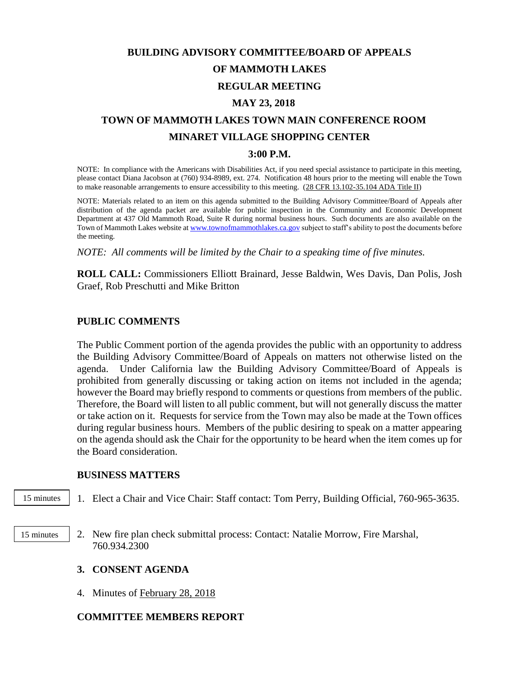# **BUILDING ADVISORY COMMITTEE/BOARD OF APPEALS OF MAMMOTH LAKES REGULAR MEETING MAY 23, 2018**

# **TOWN OF MAMMOTH LAKES TOWN MAIN CONFERENCE ROOM MINARET VILLAGE SHOPPING CENTER**

#### **3:00 P.M.**

NOTE: In compliance with the Americans with Disabilities Act, if you need special assistance to participate in this meeting, please contact Diana Jacobson at (760) 934-8989, ext. 274. Notification 48 hours prior to the meeting will enable the Town to make reasonable arrangements to ensure accessibility to this meeting. (28 CFR 13.102-35.104 ADA Title II)

NOTE: Materials related to an item on this agenda submitted to the Building Advisory Committee/Board of Appeals after distribution of the agenda packet are available for public inspection in the Community and Economic Development Department at 437 Old Mammoth Road, Suite R during normal business hours. Such documents are also available on the Town of Mammoth Lakes website a[t www.townofmammothlakes.ca.gov](http://www.townofmammothlakes.ca.gov/) subject to staff's ability to post the documents before the meeting.

*NOTE: All comments will be limited by the Chair to a speaking time of five minutes.*

**ROLL CALL:** Commissioners Elliott Brainard, Jesse Baldwin, Wes Davis, Dan Polis, Josh Graef, Rob Preschutti and Mike Britton

### **PUBLIC COMMENTS**

The Public Comment portion of the agenda provides the public with an opportunity to address the Building Advisory Committee/Board of Appeals on matters not otherwise listed on the agenda. Under California law the Building Advisory Committee/Board of Appeals is prohibited from generally discussing or taking action on items not included in the agenda; however the Board may briefly respond to comments or questions from members of the public. Therefore, the Board will listen to all public comment, but will not generally discuss the matter or take action on it. Requests for service from the Town may also be made at the Town offices during regular business hours. Members of the public desiring to speak on a matter appearing on the agenda should ask the Chair for the opportunity to be heard when the item comes up for the Board consideration.

#### **BUSINESS MATTERS**

15 minutes

1. Elect a Chair and Vice Chair: Staff contact: Tom Perry, Building Official, 760-965-3635.

2. New fire plan check submittal process: Contact: Natalie Morrow, Fire Marshal, 760.934.2300 15 minutes 15 minutes

#### **3. CONSENT AGENDA**

4. Minutes of February 28, 2018

## **COMMITTEE MEMBERS REPORT**